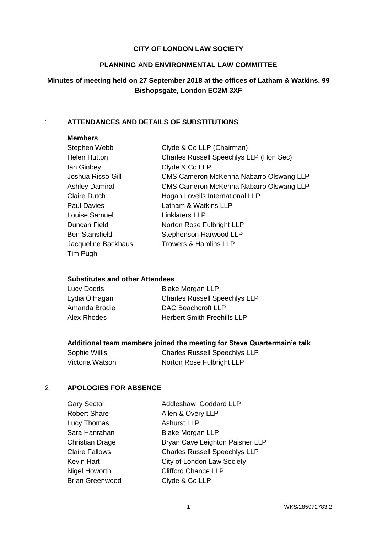### **CITY OF LONDON LAW SOCIETY**

#### **PLANNING AND ENVIRONMENTAL LAW COMMITTEE**

# **Minutes of meeting held on 27 September 2018 at the offices of Latham & Watkins, 99 Bishopsgate, London EC2M 3XF**

## 1 **ATTENDANCES AND DETAILS OF SUBSTITUTIONS**

#### **Members**

| Stephen Webb          | Clyde & Co LLP (Chairman)               |
|-----------------------|-----------------------------------------|
| <b>Helen Hutton</b>   | Charles Russell Speechlys LLP (Hon Sec) |
| lan Ginbey            | Clyde & Co LLP                          |
| Joshua Risso-Gill     | CMS Cameron McKenna Nabarro Olswang LLP |
| <b>Ashley Damiral</b> | CMS Cameron McKenna Nabarro Olswang LLP |
| <b>Claire Dutch</b>   | Hogan Lovells International LLP         |
| <b>Paul Davies</b>    | Latham & Watkins LLP                    |
| Louise Samuel         | <b>Linklaters LLP</b>                   |
| Duncan Field          | Norton Rose Fulbright LLP               |
| <b>Ben Stansfield</b> | Stephenson Harwood LLP                  |
| Jacqueline Backhaus   | <b>Trowers &amp; Hamlins LLP</b>        |
| Tim Pugh              |                                         |

#### **Substitutes and other Attendees**

| Lucy Dodds    | <b>Blake Morgan LLP</b>              |
|---------------|--------------------------------------|
| Lydia O'Hagan | <b>Charles Russell Speechlys LLP</b> |
| Amanda Brodie | DAC Beachcroft LLP                   |
| Alex Rhodes   | <b>Herbert Smith Freehills LLP</b>   |

## **Additional team members joined the meeting for Steve Quartermain's talk**

| Sophie Willis   | <b>Charles Russell Speechlys LLP</b> |
|-----------------|--------------------------------------|
| Victoria Watson | Norton Rose Fulbright LLP            |

### 2 **APOLOGIES FOR ABSENCE**

| <b>Gary Sector</b>     | Addleshaw Goddard LLP                |
|------------------------|--------------------------------------|
| <b>Robert Share</b>    | Allen & Overy LLP                    |
| Lucy Thomas            | <b>Ashurst LLP</b>                   |
| Sara Hanrahan          | <b>Blake Morgan LLP</b>              |
| <b>Christian Drage</b> | Bryan Cave Leighton Paisner LLP      |
| <b>Claire Fallows</b>  | <b>Charles Russell Speechlys LLP</b> |
| Kevin Hart             | City of London Law Society           |
| Nigel Howorth          | <b>Clifford Chance LLP</b>           |
| <b>Brian Greenwood</b> | Clyde & Co LLP                       |
|                        |                                      |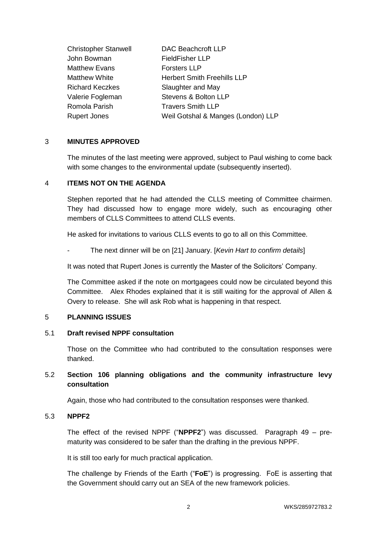| <b>Christopher Stanwell</b> | <b>DAC Beachcroft LLP</b>          |
|-----------------------------|------------------------------------|
| John Bowman                 | <b>FieldFisher LLP</b>             |
| <b>Matthew Evans</b>        | <b>Forsters LLP</b>                |
| <b>Matthew White</b>        | <b>Herbert Smith Freehills LLP</b> |
| <b>Richard Keczkes</b>      | Slaughter and May                  |
| Valerie Fogleman            | Stevens & Bolton LLP               |
| Romola Parish               | <b>Travers Smith LLP</b>           |
| <b>Rupert Jones</b>         | Weil Gotshal & Manges (London) LLP |
|                             |                                    |

### 3 **MINUTES APPROVED**

The minutes of the last meeting were approved, subject to Paul wishing to come back with some changes to the environmental update (subsequently inserted).

### 4 **ITEMS NOT ON THE AGENDA**

Stephen reported that he had attended the CLLS meeting of Committee chairmen. They had discussed how to engage more widely, such as encouraging other members of CLLS Committees to attend CLLS events.

He asked for invitations to various CLLS events to go to all on this Committee.

- The next dinner will be on [21] January. [*Kevin Hart to confirm details*]

It was noted that Rupert Jones is currently the Master of the Solicitors' Company.

The Committee asked if the note on mortgagees could now be circulated beyond this Committee. Alex Rhodes explained that it is still waiting for the approval of Allen & Overy to release. She will ask Rob what is happening in that respect.

### 5 **PLANNING ISSUES**

### 5.1 **Draft revised NPPF consultation**

Those on the Committee who had contributed to the consultation responses were thanked.

# 5.2 **Section 106 planning obligations and the community infrastructure levy consultation**

Again, those who had contributed to the consultation responses were thanked.

### 5.3 **NPPF2**

The effect of the revised NPPF ("**NPPF2**") was discussed. Paragraph 49 – prematurity was considered to be safer than the drafting in the previous NPPF.

It is still too early for much practical application.

The challenge by Friends of the Earth ("**FoE**") is progressing. FoE is asserting that the Government should carry out an SEA of the new framework policies.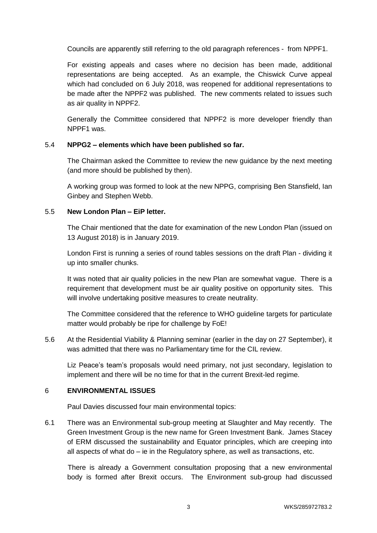Councils are apparently still referring to the old paragraph references - from NPPF1.

For existing appeals and cases where no decision has been made, additional representations are being accepted. As an example, the Chiswick Curve appeal which had concluded on 6 July 2018, was reopened for additional representations to be made after the NPPF2 was published. The new comments related to issues such as air quality in NPPF2.

Generally the Committee considered that NPPF2 is more developer friendly than NPPF1 was.

## 5.4 **NPPG2 – elements which have been published so far.**

The Chairman asked the Committee to review the new guidance by the next meeting (and more should be published by then).

A working group was formed to look at the new NPPG, comprising Ben Stansfield, Ian Ginbey and Stephen Webb.

### 5.5 **New London Plan – EiP letter.**

The Chair mentioned that the date for examination of the new London Plan (issued on 13 August 2018) is in January 2019.

London First is running a series of round tables sessions on the draft Plan - dividing it up into smaller chunks.

It was noted that air quality policies in the new Plan are somewhat vague. There is a requirement that development must be air quality positive on opportunity sites. This will involve undertaking positive measures to create neutrality.

The Committee considered that the reference to WHO guideline targets for particulate matter would probably be ripe for challenge by FoE!

5.6 At the Residential Viability & Planning seminar (earlier in the day on 27 September), it was admitted that there was no Parliamentary time for the CIL review.

Liz Peace's team's proposals would need primary, not just secondary, legislation to implement and there will be no time for that in the current Brexit-led regime.

### 6 **ENVIRONMENTAL ISSUES**

Paul Davies discussed four main environmental topics:

6.1 There was an Environmental sub-group meeting at Slaughter and May recently. The Green Investment Group is the new name for Green Investment Bank. James Stacey of ERM discussed the sustainability and Equator principles, which are creeping into all aspects of what do – ie in the Regulatory sphere, as well as transactions, etc.

There is already a Government consultation proposing that a new environmental body is formed after Brexit occurs. The Environment sub-group had discussed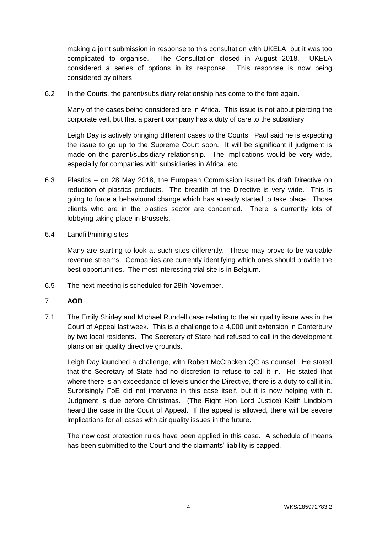making a joint submission in response to this consultation with UKELA, but it was too complicated to organise. The Consultation closed in August 2018. UKELA considered a series of options in its response. This response is now being considered by others.

6.2 In the Courts, the parent/subsidiary relationship has come to the fore again.

Many of the cases being considered are in Africa. This issue is not about piercing the corporate veil, but that a parent company has a duty of care to the subsidiary.

Leigh Day is actively bringing different cases to the Courts. Paul said he is expecting the issue to go up to the Supreme Court soon. It will be significant if judgment is made on the parent/subsidiary relationship. The implications would be very wide, especially for companies with subsidiaries in Africa, etc.

- 6.3 Plastics on 28 May 2018, the European Commission issued its draft Directive on reduction of plastics products. The breadth of the Directive is very wide. This is going to force a behavioural change which has already started to take place. Those clients who are in the plastics sector are concerned. There is currently lots of lobbying taking place in Brussels.
- 6.4 Landfill/mining sites

Many are starting to look at such sites differently. These may prove to be valuable revenue streams. Companies are currently identifying which ones should provide the best opportunities. The most interesting trial site is in Belgium.

6.5 The next meeting is scheduled for 28th November.

### 7 **AOB**

7.1 The Emily Shirley and Michael Rundell case relating to the air quality issue was in the Court of Appeal last week. This is a challenge to a 4,000 unit extension in Canterbury by two local residents. The Secretary of State had refused to call in the development plans on air quality directive grounds.

Leigh Day launched a challenge, with Robert McCracken QC as counsel. He stated that the Secretary of State had no discretion to refuse to call it in. He stated that where there is an exceedance of levels under the Directive, there is a duty to call it in. Surprisingly FoE did not intervene in this case itself, but it is now helping with it. Judgment is due before Christmas. (The Right Hon Lord Justice) Keith Lindblom heard the case in the Court of Appeal. If the appeal is allowed, there will be severe implications for all cases with air quality issues in the future.

The new cost protection rules have been applied in this case. A schedule of means has been submitted to the Court and the claimants' liability is capped.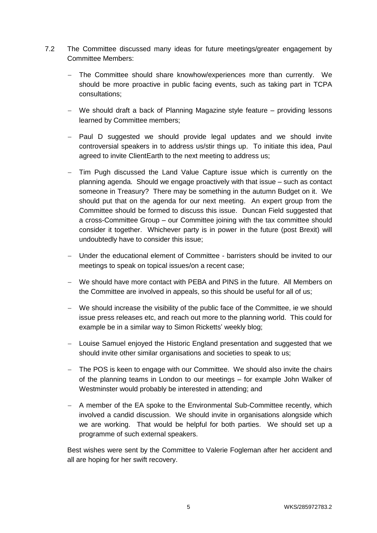- 7.2 The Committee discussed many ideas for future meetings/greater engagement by Committee Members:
	- The Committee should share knowhow/experiences more than currently. We should be more proactive in public facing events, such as taking part in TCPA consultations;
	- We should draft a back of Planning Magazine style feature providing lessons learned by Committee members;
	- Paul D suggested we should provide legal updates and we should invite controversial speakers in to address us/stir things up. To initiate this idea, Paul agreed to invite ClientEarth to the next meeting to address us;
	- Tim Pugh discussed the Land Value Capture issue which is currently on the planning agenda. Should we engage proactively with that issue – such as contact someone in Treasury? There may be something in the autumn Budget on it. We should put that on the agenda for our next meeting. An expert group from the Committee should be formed to discuss this issue. Duncan Field suggested that a cross-Committee Group – our Committee joining with the tax committee should consider it together. Whichever party is in power in the future (post Brexit) will undoubtedly have to consider this issue;
	- Under the educational element of Committee barristers should be invited to our meetings to speak on topical issues/on a recent case;
	- We should have more contact with PEBA and PINS in the future. All Members on the Committee are involved in appeals, so this should be useful for all of us;
	- We should increase the visibility of the public face of the Committee, ie we should issue press releases etc, and reach out more to the planning world. This could for example be in a similar way to Simon Ricketts' weekly blog;
	- Louise Samuel enjoyed the Historic England presentation and suggested that we should invite other similar organisations and societies to speak to us;
	- The POS is keen to engage with our Committee. We should also invite the chairs of the planning teams in London to our meetings – for example John Walker of Westminster would probably be interested in attending; and
	- A member of the EA spoke to the Environmental Sub-Committee recently, which involved a candid discussion. We should invite in organisations alongside which we are working. That would be helpful for both parties. We should set up a programme of such external speakers.

Best wishes were sent by the Committee to Valerie Fogleman after her accident and all are hoping for her swift recovery.